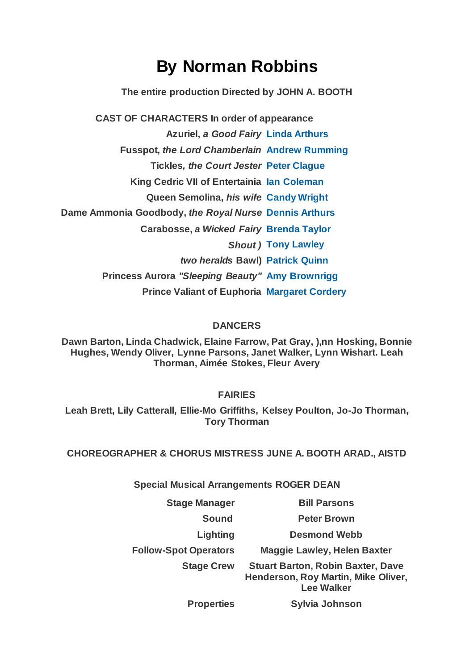## **By Norman Robbins**

**The entire production Directed by JOHN A. BOOTH**

**CAST OF CHARACTERS In order of appearance Azuriel,** *a Good Fairy* **[Linda Arthurs](https://www.carelinetheatre.com/pastprods/sleepingbeauty.php#linda) Fusspot***, the Lord Chamberlain* **[Andrew Rumming](https://www.carelinetheatre.com/pastprods/sleepingbeauty.php#andrew) Tickles***, the Court Jester* **[Peter Clague](https://www.carelinetheatre.com/pastprods/sleepingbeauty.php#peter) King Cedric VII of Entertainia [Ian Coleman](https://www.carelinetheatre.com/pastprods/sleepingbeauty.php#ian) Queen Semolina,** *his wife* **[Candy Wright](https://www.carelinetheatre.com/pastprods/sleepingbeauty.php#candy) Dame Ammonia Goodbody,** *the Royal Nurse* **[Dennis Arthurs](https://www.carelinetheatre.com/pastprods/sleepingbeauty.php#dennis) Carabosse,** *a Wicked Fairy* **[Brenda Taylor](https://www.carelinetheatre.com/pastprods/sleepingbeauty.php#brenda)** *Shout )* **[Tony Lawley](https://www.carelinetheatre.com/pastprods/tony)** *two heralds* **Bawl) [Patrick Quinn](https://www.carelinetheatre.com/pastprods/sleepingbeauty.php#patrick) Princess Aurora** *"Sleeping Beauty"* **[Amy Brownrigg](https://www.carelinetheatre.com/pastprods/sleepingbeauty.php#amy) Prince Valiant of Euphoria [Margaret Cordery](https://www.carelinetheatre.com/pastprods/sleepingbeauty.php#margaret)**

## **DANCERS**

**Dawn Barton, Linda Chadwick, Elaine Farrow, Pat Gray, ),nn Hosking, Bonnie Hughes, Wendy Oliver, Lynne Parsons, Janet Walker, Lynn Wishart. Leah Thorman, Aimée Stokes, Fleur Avery**

**FAIRIES**

**Leah Brett, Lily Catterall, Ellie-Mo Griffiths, Kelsey Poulton, Jo-Jo Thorman, Tory Thorman**

**CHOREOGRAPHER & CHORUS MISTRESS JUNE A. BOOTH ARAD., AISTD**

**Special Musical Arrangements ROGER DEAN**

**Stage Manager Bill Parsons Sound Peter Brown Lighting Desmond Webb Follow-Spot Operators Maggie Lawley, Helen Baxter Stage Crew Stuart Barton, Robin Baxter, Dave Henderson, Roy Martin, Mike Oliver, Lee Walker**

**Properties Sylvia Johnson**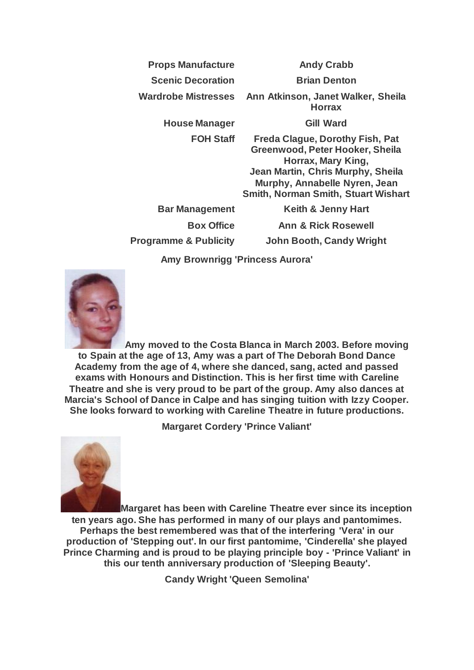| <b>Props Manufacture</b> | <b>Andy Crabb</b> |
|--------------------------|-------------------|
|--------------------------|-------------------|

**Scenic Decoration Brian Denton** 

**Wardrobe Mistresses Ann Atkinson, Janet Walker, Sheila Horrax**

**House Manager Gill Ward**

**FOH Staff Freda Clague, Dorothy Fish, Pat Greenwood, Peter Hooker, Sheila Horrax, Mary King, Jean Martin, Chris Murphy, Sheila Murphy, Annabelle Nyren, Jean Smith, Norman Smith, Stuart Wishart**

**Bar Management Keith & Jenny Hart**

**Box Office Ann & Rick Rosewell Programme & Publicity John Booth, Candy Wright**

**Amy Brownrigg 'Princess Aurora'**



**Amy moved to the Costa Blanca in March 2003. Before moving to Spain at the age of 13, Amy was a part of The Deborah Bond Dance Academy from the age of 4, where she danced, sang, acted and passed exams with Honours and Distinction. This is her first time with Careline Theatre and she is very proud to be part of the group. Amy also dances at Marcia's School of Dance in Calpe and has singing tuition with Izzy Cooper. She looks forward to working with Careline Theatre in future productions.**

**Margaret Cordery 'Prince Valiant'**



**Margaret has been with Careline Theatre ever since its inception ten years ago. She has performed in many of our plays and pantomimes. Perhaps the best remembered was that of the interfering 'Vera' in our production of 'Stepping out'. In our first pantomime, 'Cinderella' she played Prince Charming and is proud to be playing principle boy - 'Prince Valiant' in this our tenth anniversary production of 'Sleeping Beauty'.**

**Candy Wright 'Queen Semolina'**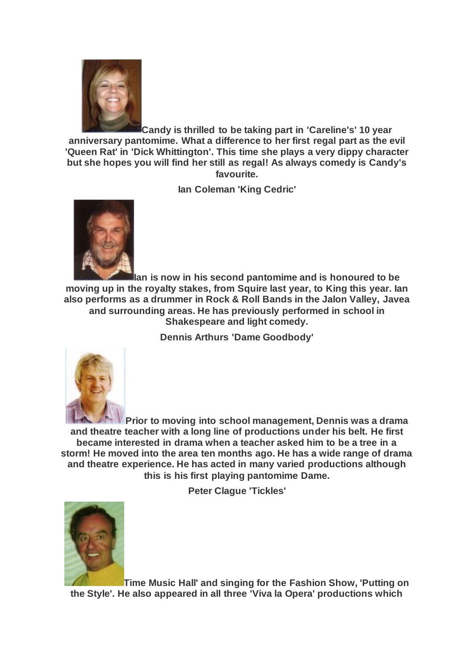

**Candy is thrilled to be taking part in 'Careline's' 10 year anniversary pantomime. What a difference to her first regal part as the evil 'Queen Rat' in 'Dick Whittington'. This time she plays a very dippy character but she hopes you will find her still as regal! As always comedy is Candy's favourite.**

**Ian Coleman 'King Cedric'**



**Ian is now in his second pantomime and is honoured to be moving up in the royalty stakes, from Squire last year, to King this year. Ian also performs as a drummer in Rock & Roll Bands in the Jalon Valley, Javea and surrounding areas. He has previously performed in school in Shakespeare and light comedy.**

**Dennis Arthurs 'Dame Goodbody'**



**Prior to moving into school management, Dennis was a drama and theatre teacher with a long line of productions under his belt. He first became interested in drama when a teacher asked him to be a tree in a storm! He moved into the area ten months ago. He has a wide range of drama and theatre experience. He has acted in many varied productions although this is his first playing pantomime Dame.**

**Peter Clague 'Tickles'**



**Time Music Hall' and singing for the Fashion Show, 'Putting on the Style'. He also appeared in all three 'Viva la Opera' productions which**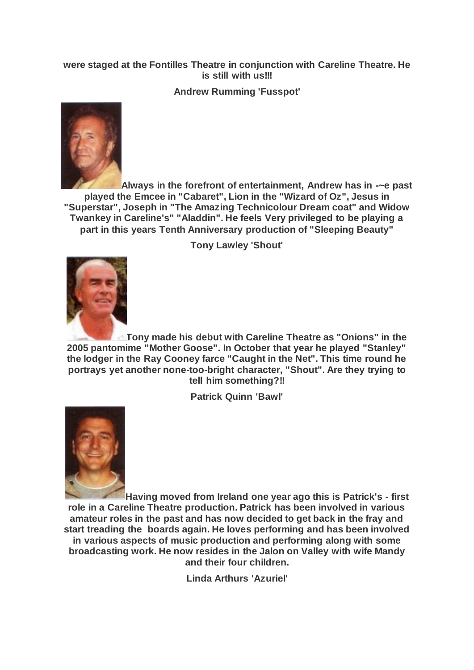## **were staged at the Fontilles Theatre in conjunction with Careline Theatre. He is still with us!!!**

**Andrew Rumming 'Fusspot'**



**Always in the forefront of entertainment, Andrew has in -~e past played the Emcee in "Cabaret", Lion in the "Wizard of Oz", Jesus in "Superstar", Joseph in "The Amazing Technicolour Dream coat" and Widow Twankey in Careline's" "Aladdin". He feels Very privileged to be playing a part in this years Tenth Anniversary production of "Sleeping Beauty"**

**Tony Lawley 'Shout'**



**Tony made his debut with Careline Theatre as "Onions" in the 2005 pantomime "Mother Goose". In October that year he played "Stanley" the lodger in the Ray Cooney farce "Caught in the Net". This time round he portrays yet another none-too-bright character, "Shout". Are they trying to tell him something?!!**

**Patrick Quinn 'Bawl'**



**Having moved from Ireland one year ago this is Patrick's - first role in a Careline Theatre production. Patrick has been involved in various amateur roles in the past and has now decided to get back in the fray and start treading the boards again. He loves performing and has been involved in various aspects of music production and performing along with some broadcasting work. He now resides in the Jalon on Valley with wife Mandy and their four children.**

**Linda Arthurs 'Azuriel'**